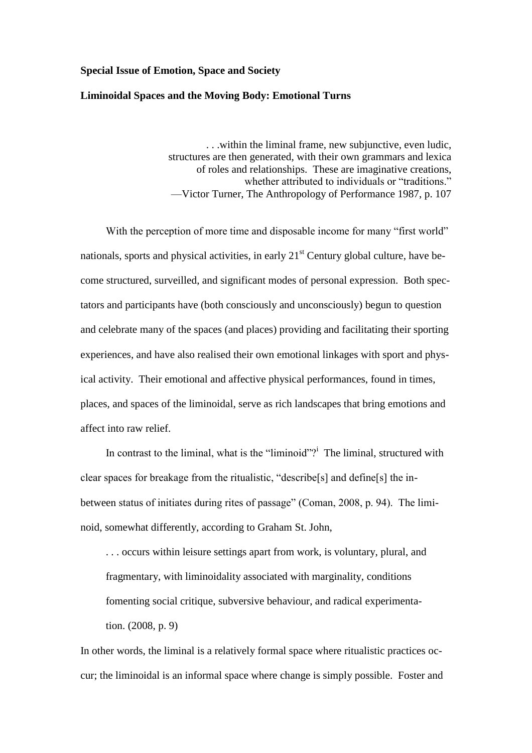## **Special Issue of Emotion, Space and Society**

## **Liminoidal Spaces and the Moving Body: Emotional Turns**

. . .within the liminal frame, new subjunctive, even ludic, structures are then generated, with their own grammars and lexica of roles and relationships. These are imaginative creations, whether attributed to individuals or "traditions." —Victor Turner, The Anthropology of Performance 1987, p. 107

With the perception of more time and disposable income for many "first world" nationals, sports and physical activities, in early  $21<sup>st</sup>$  Century global culture, have become structured, surveilled, and significant modes of personal expression. Both spectators and participants have (both consciously and unconsciously) begun to question and celebrate many of the spaces (and places) providing and facilitating their sporting experiences, and have also realised their own emotional linkages with sport and physical activity. Their emotional and affective physical performances, found in times, places, and spaces of the liminoidal, serve as rich landscapes that bring emotions and affect into raw relief.

In contrast to the liminal, what is the "liminoid"?<sup>1</sup> The liminal, structured with clear spaces for breakage from the ritualistic, "describe[s] and define[s] the inbetween status of initiates during rites of passage" (Coman, 2008, p. 94). The liminoid, somewhat differently, according to Graham St. John,

. . . occurs within leisure settings apart from work, is voluntary, plural, and fragmentary, with liminoidality associated with marginality, conditions fomenting social critique, subversive behaviour, and radical experimentation. (2008, p. 9)

In other words, the liminal is a relatively formal space where ritualistic practices occur; the liminoidal is an informal space where change is simply possible. Foster and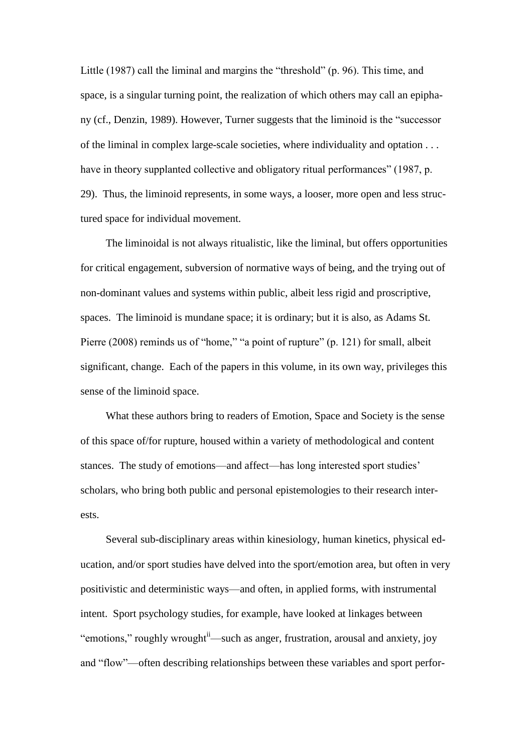Little (1987) call the liminal and margins the "threshold" (p. 96). This time, and space, is a singular turning point, the realization of which others may call an epiphany (cf., Denzin, 1989). However, Turner suggests that the liminoid is the "successor of the liminal in complex large-scale societies, where individuality and optation . . . have in theory supplanted collective and obligatory ritual performances" (1987, p. 29). Thus, the liminoid represents, in some ways, a looser, more open and less structured space for individual movement.

The liminoidal is not always ritualistic, like the liminal, but offers opportunities for critical engagement, subversion of normative ways of being, and the trying out of non-dominant values and systems within public, albeit less rigid and proscriptive, spaces. The liminoid is mundane space; it is ordinary; but it is also, as Adams St. Pierre (2008) reminds us of "home," "a point of rupture" (p. 121) for small, albeit significant, change. Each of the papers in this volume, in its own way, privileges this sense of the liminoid space.

What these authors bring to readers of Emotion, Space and Society is the sense of this space of/for rupture, housed within a variety of methodological and content stances. The study of emotions—and affect—has long interested sport studies' scholars, who bring both public and personal epistemologies to their research interests.

Several sub-disciplinary areas within kinesiology, human kinetics, physical education, and/or sport studies have delved into the sport/emotion area, but often in very positivistic and deterministic ways—and often, in applied forms, with instrumental intent. Sport psychology studies, for example, have looked at linkages between "emotions," roughly wrought<sup>ii</sup>—such as anger, frustration, arousal and anxiety, joy and "flow"—often describing relationships between these variables and sport perfor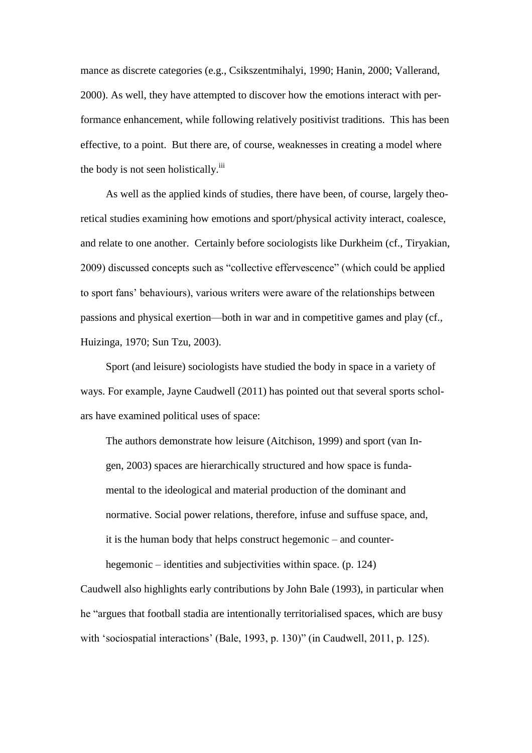mance as discrete categories (e.g., Csikszentmihalyi, 1990; Hanin, 2000; Vallerand, 2000). As well, they have attempted to discover how the emotions interact with performance enhancement, while following relatively positivist traditions. This has been effective, to a point. But there are, of course, weaknesses in creating a model where the body is not seen holistically.<sup>iii</sup>

As well as the applied kinds of studies, there have been, of course, largely theoretical studies examining how emotions and sport/physical activity interact, coalesce, and relate to one another. Certainly before sociologists like Durkheim (cf., Tiryakian, 2009) discussed concepts such as "collective effervescence" (which could be applied to sport fans' behaviours), various writers were aware of the relationships between passions and physical exertion—both in war and in competitive games and play (cf., Huizinga, 1970; Sun Tzu, 2003).

Sport (and leisure) sociologists have studied the body in space in a variety of ways. For example, Jayne Caudwell (2011) has pointed out that several sports scholars have examined political uses of space:

The authors demonstrate how leisure (Aitchison, 1999) and sport (van Ingen, 2003) spaces are hierarchically structured and how space is fundamental to the ideological and material production of the dominant and normative. Social power relations, therefore, infuse and suffuse space, and, it is the human body that helps construct hegemonic – and counter-

Caudwell also highlights early contributions by John Bale (1993), in particular when he "argues that football stadia are intentionally territorialised spaces, which are busy with 'sociospatial interactions' (Bale, 1993, p. 130)" (in Caudwell, 2011, p. 125).

hegemonic – identities and subjectivities within space. (p. 124)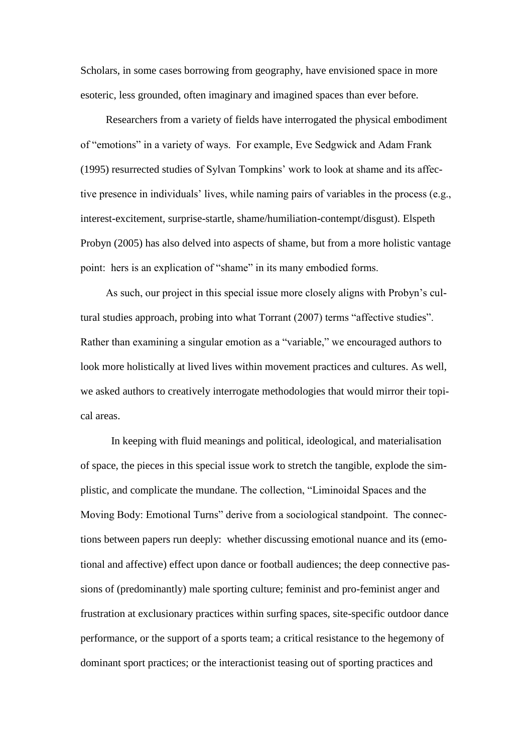Scholars, in some cases borrowing from geography, have envisioned space in more esoteric, less grounded, often imaginary and imagined spaces than ever before.

Researchers from a variety of fields have interrogated the physical embodiment of "emotions" in a variety of ways. For example, Eve Sedgwick and Adam Frank (1995) resurrected studies of Sylvan Tompkins' work to look at shame and its affective presence in individuals' lives, while naming pairs of variables in the process (e.g., interest-excitement, surprise-startle, shame/humiliation-contempt/disgust). Elspeth Probyn (2005) has also delved into aspects of shame, but from a more holistic vantage point: hers is an explication of "shame" in its many embodied forms.

As such, our project in this special issue more closely aligns with Probyn's cultural studies approach, probing into what Torrant (2007) terms "affective studies". Rather than examining a singular emotion as a "variable," we encouraged authors to look more holistically at lived lives within movement practices and cultures. As well, we asked authors to creatively interrogate methodologies that would mirror their topical areas.

 In keeping with fluid meanings and political, ideological, and materialisation of space, the pieces in this special issue work to stretch the tangible, explode the simplistic, and complicate the mundane. The collection, "Liminoidal Spaces and the Moving Body: Emotional Turns" derive from a sociological standpoint. The connections between papers run deeply: whether discussing emotional nuance and its (emotional and affective) effect upon dance or football audiences; the deep connective passions of (predominantly) male sporting culture; feminist and pro-feminist anger and frustration at exclusionary practices within surfing spaces, site-specific outdoor dance performance, or the support of a sports team; a critical resistance to the hegemony of dominant sport practices; or the interactionist teasing out of sporting practices and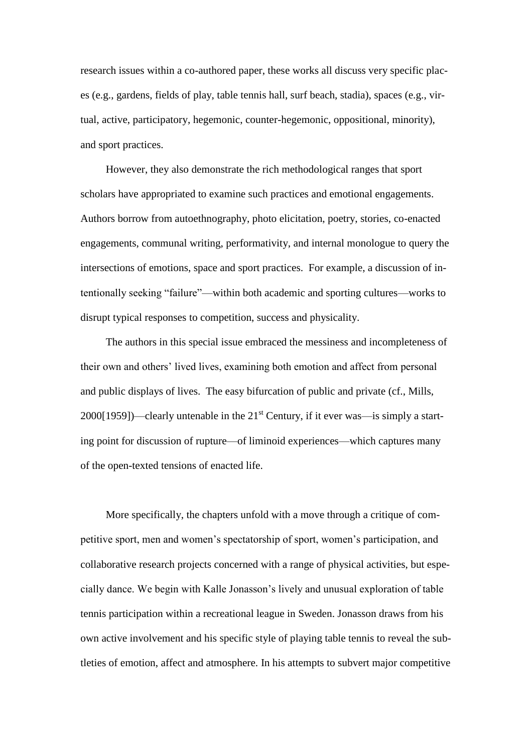research issues within a co-authored paper, these works all discuss very specific places (e.g., gardens, fields of play, table tennis hall, surf beach, stadia), spaces (e.g., virtual, active, participatory, hegemonic, counter-hegemonic, oppositional, minority), and sport practices.

However, they also demonstrate the rich methodological ranges that sport scholars have appropriated to examine such practices and emotional engagements. Authors borrow from autoethnography, photo elicitation, poetry, stories, co-enacted engagements, communal writing, performativity, and internal monologue to query the intersections of emotions, space and sport practices. For example, a discussion of intentionally seeking "failure"—within both academic and sporting cultures—works to disrupt typical responses to competition, success and physicality.

The authors in this special issue embraced the messiness and incompleteness of their own and others' lived lives, examining both emotion and affect from personal and public displays of lives. The easy bifurcation of public and private (cf., Mills, 2000[1959])—clearly untenable in the  $21<sup>st</sup>$  Century, if it ever was—is simply a starting point for discussion of rupture—of liminoid experiences—which captures many of the open-texted tensions of enacted life.

More specifically, the chapters unfold with a move through a critique of competitive sport, men and women's spectatorship of sport, women's participation, and collaborative research projects concerned with a range of physical activities, but especially dance. We begin with Kalle Jonasson's lively and unusual exploration of table tennis participation within a recreational league in Sweden. Jonasson draws from his own active involvement and his specific style of playing table tennis to reveal the subtleties of emotion, affect and atmosphere. In his attempts to subvert major competitive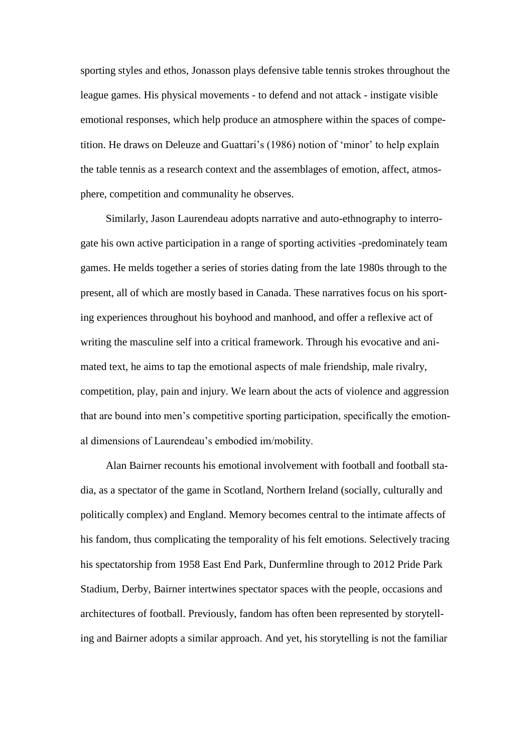sporting styles and ethos, Jonasson plays defensive table tennis strokes throughout the league games. His physical movements - to defend and not attack - instigate visible emotional responses, which help produce an atmosphere within the spaces of competition. He draws on Deleuze and Guattari's (1986) notion of 'minor' to help explain the table tennis as a research context and the assemblages of emotion, affect, atmosphere, competition and communality he observes.

Similarly, Jason Laurendeau adopts narrative and auto-ethnography to interrogate his own active participation in a range of sporting activities -predominately team games. He melds together a series of stories dating from the late 1980s through to the present, all of which are mostly based in Canada. These narratives focus on his sporting experiences throughout his boyhood and manhood, and offer a reflexive act of writing the masculine self into a critical framework. Through his evocative and animated text, he aims to tap the emotional aspects of male friendship, male rivalry, competition, play, pain and injury. We learn about the acts of violence and aggression that are bound into men's competitive sporting participation, specifically the emotional dimensions of Laurendeau's embodied im/mobility.

Alan Bairner recounts his emotional involvement with football and football stadia, as a spectator of the game in Scotland, Northern Ireland (socially, culturally and politically complex) and England. Memory becomes central to the intimate affects of his fandom, thus complicating the temporality of his felt emotions. Selectively tracing his spectatorship from 1958 East End Park, Dunfermline through to 2012 Pride Park Stadium, Derby, Bairner intertwines spectator spaces with the people, occasions and architectures of football. Previously, fandom has often been represented by storytelling and Bairner adopts a similar approach. And yet, his storytelling is not the familiar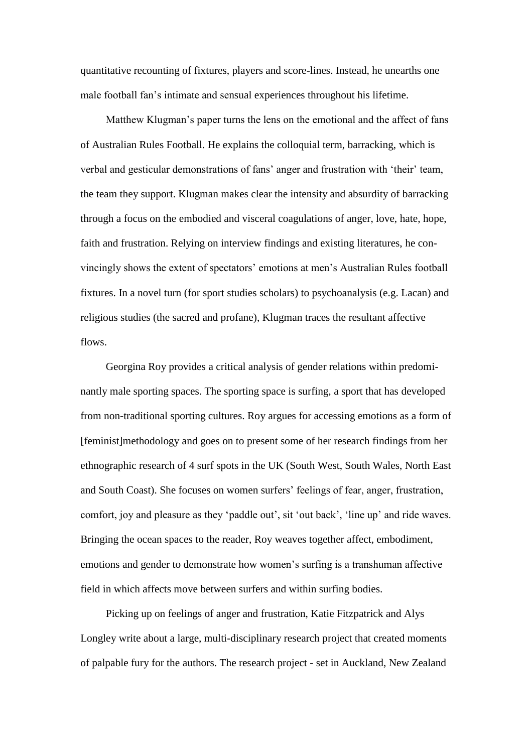quantitative recounting of fixtures, players and score-lines. Instead, he unearths one male football fan's intimate and sensual experiences throughout his lifetime.

Matthew Klugman's paper turns the lens on the emotional and the affect of fans of Australian Rules Football. He explains the colloquial term, barracking, which is verbal and gesticular demonstrations of fans' anger and frustration with 'their' team, the team they support. Klugman makes clear the intensity and absurdity of barracking through a focus on the embodied and visceral coagulations of anger, love, hate, hope, faith and frustration. Relying on interview findings and existing literatures, he convincingly shows the extent of spectators' emotions at men's Australian Rules football fixtures. In a novel turn (for sport studies scholars) to psychoanalysis (e.g. Lacan) and religious studies (the sacred and profane), Klugman traces the resultant affective flows.

Georgina Roy provides a critical analysis of gender relations within predominantly male sporting spaces. The sporting space is surfing, a sport that has developed from non-traditional sporting cultures. Roy argues for accessing emotions as a form of [feminist]methodology and goes on to present some of her research findings from her ethnographic research of 4 surf spots in the UK (South West, South Wales, North East and South Coast). She focuses on women surfers' feelings of fear, anger, frustration, comfort, joy and pleasure as they 'paddle out', sit 'out back', 'line up' and ride waves. Bringing the ocean spaces to the reader, Roy weaves together affect, embodiment, emotions and gender to demonstrate how women's surfing is a transhuman affective field in which affects move between surfers and within surfing bodies.

Picking up on feelings of anger and frustration, Katie Fitzpatrick and Alys Longley write about a large, multi-disciplinary research project that created moments of palpable fury for the authors. The research project - set in Auckland, New Zealand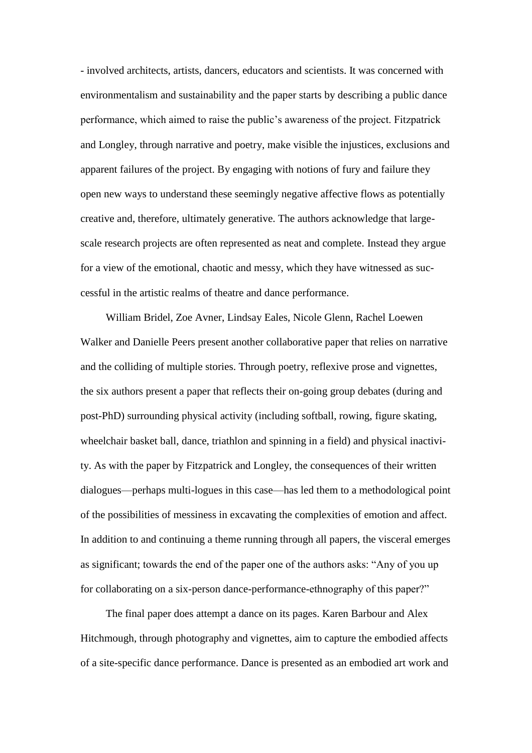- involved architects, artists, dancers, educators and scientists. It was concerned with environmentalism and sustainability and the paper starts by describing a public dance performance, which aimed to raise the public's awareness of the project. Fitzpatrick and Longley, through narrative and poetry, make visible the injustices, exclusions and apparent failures of the project. By engaging with notions of fury and failure they open new ways to understand these seemingly negative affective flows as potentially creative and, therefore, ultimately generative. The authors acknowledge that largescale research projects are often represented as neat and complete. Instead they argue for a view of the emotional, chaotic and messy, which they have witnessed as successful in the artistic realms of theatre and dance performance.

William Bridel, Zoe Avner, Lindsay Eales, Nicole Glenn, Rachel Loewen Walker and Danielle Peers present another collaborative paper that relies on narrative and the colliding of multiple stories. Through poetry, reflexive prose and vignettes, the six authors present a paper that reflects their on-going group debates (during and post-PhD) surrounding physical activity (including softball, rowing, figure skating, wheelchair basket ball, dance, triathlon and spinning in a field) and physical inactivity. As with the paper by Fitzpatrick and Longley, the consequences of their written dialogues—perhaps multi-logues in this case—has led them to a methodological point of the possibilities of messiness in excavating the complexities of emotion and affect. In addition to and continuing a theme running through all papers, the visceral emerges as significant; towards the end of the paper one of the authors asks: "Any of you up for collaborating on a six-person dance-performance-ethnography of this paper?"

The final paper does attempt a dance on its pages. Karen Barbour and Alex Hitchmough, through photography and vignettes, aim to capture the embodied affects of a site-specific dance performance. Dance is presented as an embodied art work and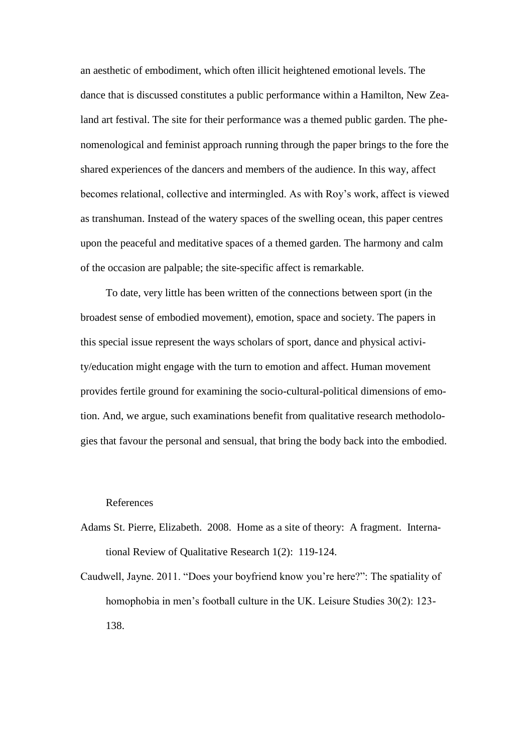an aesthetic of embodiment, which often illicit heightened emotional levels. The dance that is discussed constitutes a public performance within a Hamilton, New Zealand art festival. The site for their performance was a themed public garden. The phenomenological and feminist approach running through the paper brings to the fore the shared experiences of the dancers and members of the audience. In this way, affect becomes relational, collective and intermingled. As with Roy's work, affect is viewed as transhuman. Instead of the watery spaces of the swelling ocean, this paper centres upon the peaceful and meditative spaces of a themed garden. The harmony and calm of the occasion are palpable; the site-specific affect is remarkable.

To date, very little has been written of the connections between sport (in the broadest sense of embodied movement), emotion, space and society. The papers in this special issue represent the ways scholars of sport, dance and physical activity/education might engage with the turn to emotion and affect. Human movement provides fertile ground for examining the socio-cultural-political dimensions of emotion. And, we argue, such examinations benefit from qualitative research methodologies that favour the personal and sensual, that bring the body back into the embodied.

## References

- Adams St. Pierre, Elizabeth. 2008. Home as a site of theory: A fragment. International Review of Qualitative Research 1(2): 119-124.
- Caudwell, Jayne. 2011. "Does your boyfriend know you're here?": The spatiality of homophobia in men's football culture in the UK. Leisure Studies 30(2): 123- 138.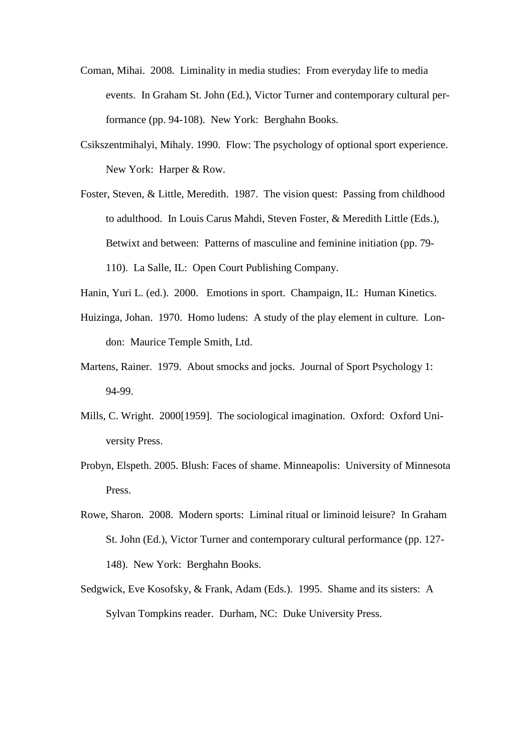- Coman, Mihai. 2008. Liminality in media studies: From everyday life to media events. In Graham St. John (Ed.), Victor Turner and contemporary cultural performance (pp. 94-108). New York: Berghahn Books.
- Csikszentmihalyi, Mihaly. 1990. Flow: The psychology of optional sport experience. New York: Harper & Row.
- Foster, Steven, & Little, Meredith. 1987. The vision quest: Passing from childhood to adulthood. In Louis Carus Mahdi, Steven Foster, & Meredith Little (Eds.), Betwixt and between: Patterns of masculine and feminine initiation (pp. 79- 110). La Salle, IL: Open Court Publishing Company.
- Hanin, Yuri L. (ed.). 2000. Emotions in sport. Champaign, IL: Human Kinetics.
- Huizinga, Johan. 1970. Homo ludens: A study of the play element in culture. London: Maurice Temple Smith, Ltd.
- Martens, Rainer. 1979. About smocks and jocks. Journal of Sport Psychology 1: 94-99.
- Mills, C. Wright. 2000[1959]. The sociological imagination. Oxford: Oxford University Press.
- Probyn, Elspeth. 2005. Blush: Faces of shame. Minneapolis: University of Minnesota Press.
- Rowe, Sharon. 2008. Modern sports: Liminal ritual or liminoid leisure? In Graham St. John (Ed.), Victor Turner and contemporary cultural performance (pp. 127- 148). New York: Berghahn Books.
- Sedgwick, Eve Kosofsky, & Frank, Adam (Eds.). 1995. Shame and its sisters: A Sylvan Tompkins reader. Durham, NC: Duke University Press.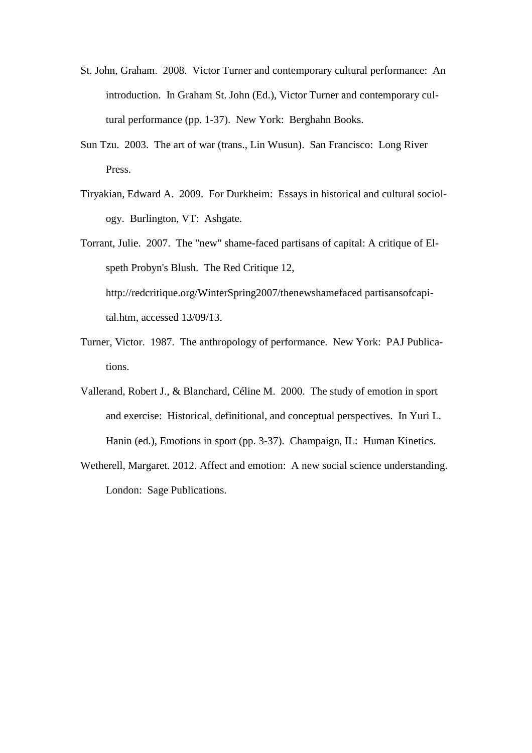- St. John, Graham. 2008. Victor Turner and contemporary cultural performance: An introduction. In Graham St. John (Ed.), Victor Turner and contemporary cultural performance (pp. 1-37). New York: Berghahn Books.
- Sun Tzu. 2003. The art of war (trans., Lin Wusun). San Francisco: Long River Press.
- Tiryakian, Edward A. 2009. For Durkheim: Essays in historical and cultural sociology. Burlington, VT: Ashgate.
- Torrant, Julie. 2007. The "new" shame-faced partisans of capital: A critique of Elspeth Probyn's Blush. The Red Critique 12, http://redcritique.org/WinterSpring2007/thenewshamefaced partisansofcapital.htm, accessed 13/09/13.
- Turner, Victor. 1987. The anthropology of performance. New York: PAJ Publications.
- Vallerand, Robert J., & Blanchard, Céline M. 2000. The study of emotion in sport and exercise: Historical, definitional, and conceptual perspectives. In Yuri L. Hanin (ed.), Emotions in sport (pp. 3-37). Champaign, IL: Human Kinetics.
- Wetherell, Margaret. 2012. Affect and emotion: A new social science understanding. London: Sage Publications.